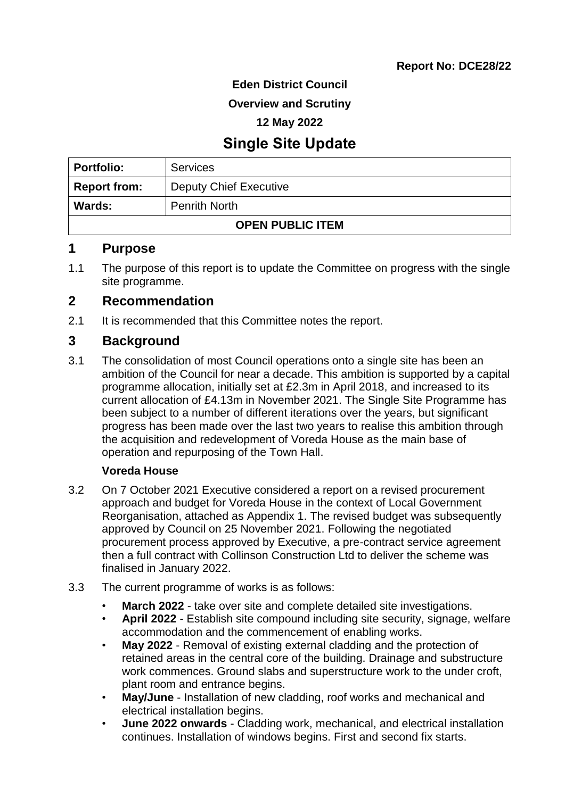**Eden District Council**

**Overview and Scrutiny**

**12 May 2022**

# **Single Site Update**

| <b>Portfolio:</b>                     | <b>Services</b>        |  |
|---------------------------------------|------------------------|--|
| <b>Report from:</b>                   | Deputy Chief Executive |  |
| <b>Penrith North</b><br><b>Wards:</b> |                        |  |
| <b>OPEN PUBLIC ITEM</b>               |                        |  |

#### **1 Purpose**

1.1 The purpose of this report is to update the Committee on progress with the single site programme.

## **2 Recommendation**

2.1 It is recommended that this Committee notes the report.

## **3 Background**

3.1 The consolidation of most Council operations onto a single site has been an ambition of the Council for near a decade. This ambition is supported by a capital programme allocation, initially set at £2.3m in April 2018, and increased to its current allocation of £4.13m in November 2021. The Single Site Programme has been subject to a number of different iterations over the years, but significant progress has been made over the last two years to realise this ambition through the acquisition and redevelopment of Voreda House as the main base of operation and repurposing of the Town Hall.

### **Voreda House**

- 3.2 On 7 October 2021 Executive considered a report on a revised procurement approach and budget for Voreda House in the context of Local Government Reorganisation, attached as Appendix 1. The revised budget was subsequently approved by Council on 25 November 2021. Following the negotiated procurement process approved by Executive, a pre-contract service agreement then a full contract with Collinson Construction Ltd to deliver the scheme was finalised in January 2022.
- 3.3 The current programme of works is as follows:
	- **March 2022** take over site and complete detailed site investigations.
	- **April 2022** Establish site compound including site security, signage, welfare accommodation and the commencement of enabling works.
	- **May 2022** Removal of existing external cladding and the protection of retained areas in the central core of the building. Drainage and substructure work commences. Ground slabs and superstructure work to the under croft, plant room and entrance begins.
	- **May/June** Installation of new cladding, roof works and mechanical and electrical installation begins.
	- **June 2022 onwards** Cladding work, mechanical, and electrical installation continues. Installation of windows begins. First and second fix starts.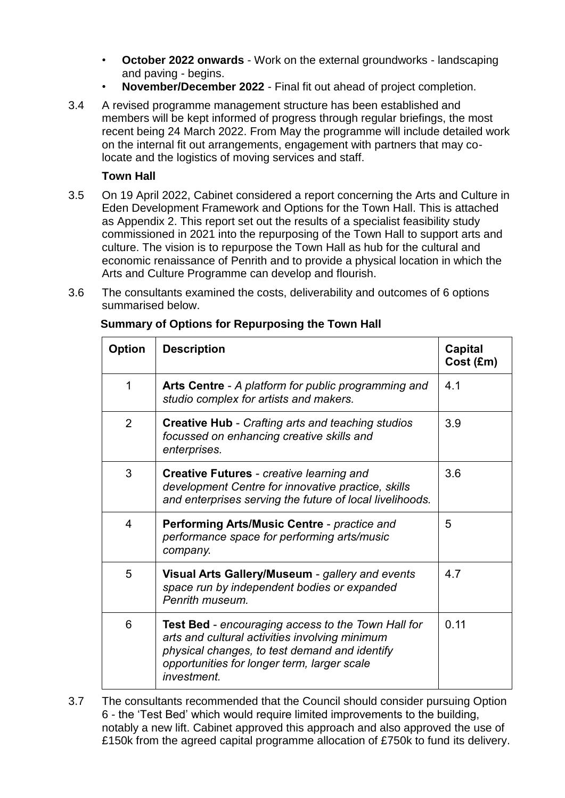- **October 2022 onwards** Work on the external groundworks landscaping and paving - begins.
- **November/December 2022** Final fit out ahead of project completion.
- 3.4 A revised programme management structure has been established and members will be kept informed of progress through regular briefings, the most recent being 24 March 2022. From May the programme will include detailed work on the internal fit out arrangements, engagement with partners that may colocate and the logistics of moving services and staff.

### **Town Hall**

- 3.5 On 19 April 2022, Cabinet considered a report concerning the Arts and Culture in Eden Development Framework and Options for the Town Hall. This is attached as Appendix 2. This report set out the results of a specialist feasibility study commissioned in 2021 into the repurposing of the Town Hall to support arts and culture. The vision is to repurpose the Town Hall as hub for the cultural and economic renaissance of Penrith and to provide a physical location in which the Arts and Culture Programme can develop and flourish.
- 3.6 The consultants examined the costs, deliverability and outcomes of 6 options summarised below.

| <b>Option</b>  | <b>Description</b>                                                                                                                                                                                                         | Capital<br>Cost (£m) |
|----------------|----------------------------------------------------------------------------------------------------------------------------------------------------------------------------------------------------------------------------|----------------------|
| $\mathbf 1$    | Arts Centre - A platform for public programming and<br>studio complex for artists and makers.                                                                                                                              | 4.1                  |
| 2              | <b>Creative Hub - Crafting arts and teaching studios</b><br>focussed on enhancing creative skills and<br>enterprises.                                                                                                      | 3.9                  |
| 3              | <b>Creative Futures - creative learning and</b><br>development Centre for innovative practice, skills<br>and enterprises serving the future of local livelihoods.                                                          | 3.6                  |
| $\overline{4}$ | Performing Arts/Music Centre - practice and<br>performance space for performing arts/music<br>company.                                                                                                                     | 5                    |
| 5              | Visual Arts Gallery/Museum - gallery and events<br>space run by independent bodies or expanded<br>Penrith museum.                                                                                                          | 4.7                  |
| 6              | <b>Test Bed</b> - encouraging access to the Town Hall for<br>arts and cultural activities involving minimum<br>physical changes, to test demand and identify<br>opportunities for longer term, larger scale<br>investment. | 0.11                 |

**Summary of Options for Repurposing the Town Hall**

3.7 The consultants recommended that the Council should consider pursuing Option 6 - the 'Test Bed' which would require limited improvements to the building, notably a new lift. Cabinet approved this approach and also approved the use of £150k from the agreed capital programme allocation of £750k to fund its delivery.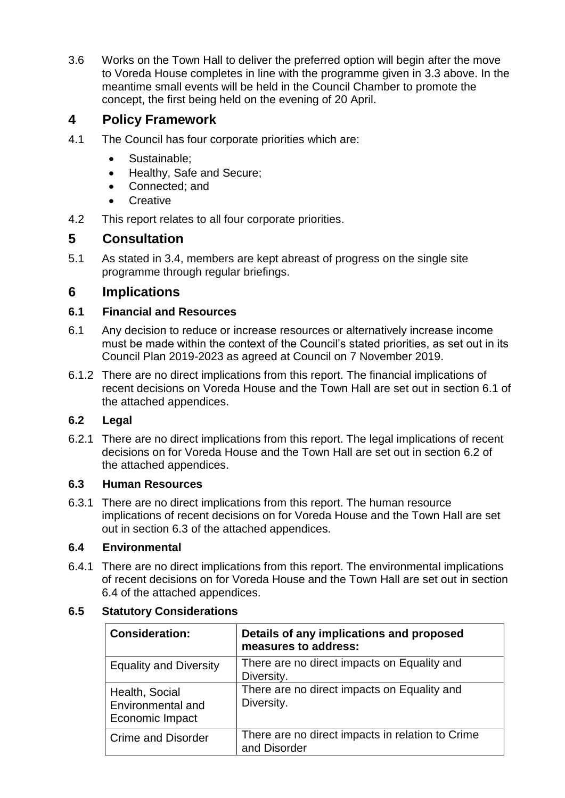3.6 Works on the Town Hall to deliver the preferred option will begin after the move to Voreda House completes in line with the programme given in 3.3 above. In the meantime small events will be held in the Council Chamber to promote the concept, the first being held on the evening of 20 April.

## **4 Policy Framework**

- 4.1 The Council has four corporate priorities which are:
	- Sustainable;
	- Healthy, Safe and Secure;
	- Connected; and
	- **Creative**
- 4.2 This report relates to all four corporate priorities.

## **5 Consultation**

5.1 As stated in 3.4, members are kept abreast of progress on the single site programme through regular briefings.

## **6 Implications**

## **6.1 Financial and Resources**

- 6.1 Any decision to reduce or increase resources or alternatively increase income must be made within the context of the Council's stated priorities, as set out in its Council Plan 2019-2023 as agreed at Council on 7 November 2019.
- 6.1.2 There are no direct implications from this report. The financial implications of recent decisions on Voreda House and the Town Hall are set out in section 6.1 of the attached appendices.

## **6.2 Legal**

6.2.1 There are no direct implications from this report. The legal implications of recent decisions on for Voreda House and the Town Hall are set out in section 6.2 of the attached appendices.

### **6.3 Human Resources**

6.3.1 There are no direct implications from this report. The human resource implications of recent decisions on for Voreda House and the Town Hall are set out in section 6.3 of the attached appendices.

### **6.4 Environmental**

6.4.1 There are no direct implications from this report. The environmental implications of recent decisions on for Voreda House and the Town Hall are set out in section 6.4 of the attached appendices.

## **6.5 Statutory Considerations**

| <b>Consideration:</b>                                  | Details of any implications and proposed<br>measures to address: |
|--------------------------------------------------------|------------------------------------------------------------------|
| <b>Equality and Diversity</b>                          | There are no direct impacts on Equality and<br>Diversity.        |
| Health, Social<br>Environmental and<br>Economic Impact | There are no direct impacts on Equality and<br>Diversity.        |
| <b>Crime and Disorder</b>                              | There are no direct impacts in relation to Crime<br>and Disorder |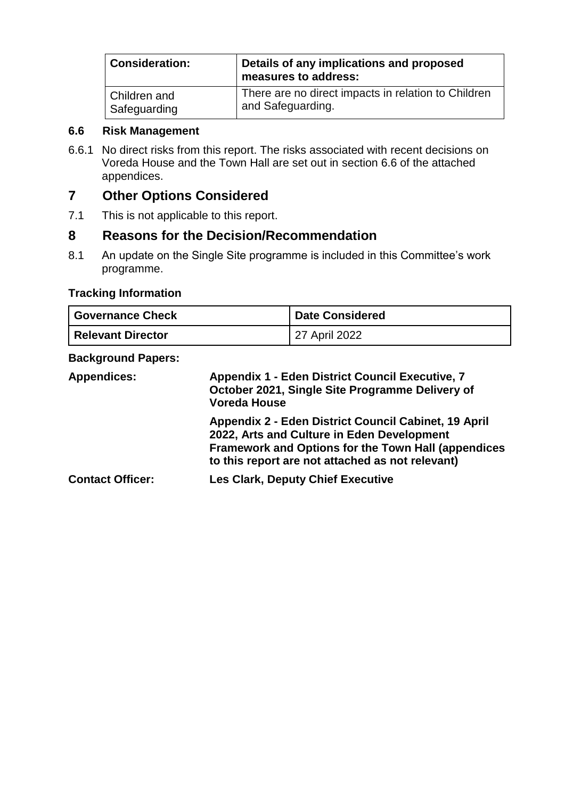| <b>Consideration:</b> | Details of any implications and proposed<br>measures to address: |
|-----------------------|------------------------------------------------------------------|
| Children and          | There are no direct impacts in relation to Children              |
| Safeguarding          | and Safeguarding.                                                |

#### **6.6 Risk Management**

6.6.1 No direct risks from this report. The risks associated with recent decisions on Voreda House and the Town Hall are set out in section 6.6 of the attached appendices.

## **7 Other Options Considered**

7.1 This is not applicable to this report.

## **8 Reasons for the Decision/Recommendation**

8.1 An update on the Single Site programme is included in this Committee's work programme.

## **Tracking Information**

| <b>Governance Check</b>  | <b>Date Considered</b> |
|--------------------------|------------------------|
| <b>Relevant Director</b> | 27 April 2022          |

#### **Background Papers:**

| <b>Appendices:</b>      | <b>Appendix 1 - Eden District Council Executive, 7</b><br>October 2021, Single Site Programme Delivery of<br><b>Voreda House</b>                                                                                     |  |
|-------------------------|----------------------------------------------------------------------------------------------------------------------------------------------------------------------------------------------------------------------|--|
|                         | Appendix 2 - Eden District Council Cabinet, 19 April<br>2022, Arts and Culture in Eden Development<br><b>Framework and Options for the Town Hall (appendices</b><br>to this report are not attached as not relevant) |  |
| <b>Contact Officer:</b> | <b>Les Clark, Deputy Chief Executive</b>                                                                                                                                                                             |  |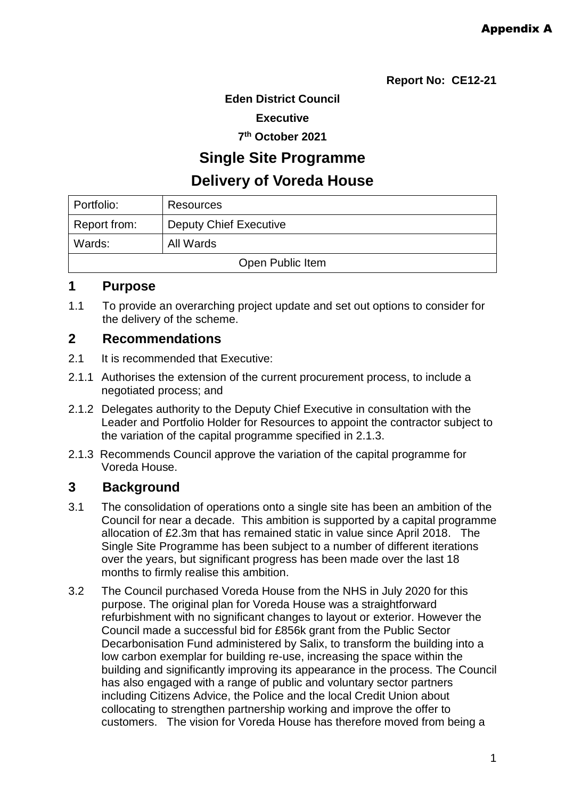**Eden District Council** 

**Executive** 

**7 th October 2021** 

**Single Site Programme**

# **Delivery of Voreda House**

| Portfolio:       | Resources                     |  |
|------------------|-------------------------------|--|
| Report from:     | <b>Deputy Chief Executive</b> |  |
| Wards:           | All Wards                     |  |
| Open Public Item |                               |  |

## **1 Purpose**

1.1 To provide an overarching project update and set out options to consider for the delivery of the scheme.

## **2 Recommendations**

- 2.1 It is recommended that Executive:
- 2.1.1 Authorises the extension of the current procurement process, to include a negotiated process; and
- 2.1.2 Delegates authority to the Deputy Chief Executive in consultation with the Leader and Portfolio Holder for Resources to appoint the contractor subject to the variation of the capital programme specified in 2.1.3.
- 2.1.3 Recommends Council approve the variation of the capital programme for Voreda House.

## **3 Background**

- 3.1 The consolidation of operations onto a single site has been an ambition of the Council for near a decade. This ambition is supported by a capital programme allocation of £2.3m that has remained static in value since April 2018. The Single Site Programme has been subject to a number of different iterations over the years, but significant progress has been made over the last 18 months to firmly realise this ambition.
- 3.2 The Council purchased Voreda House from the NHS in July 2020 for this purpose. The original plan for Voreda House was a straightforward refurbishment with no significant changes to layout or exterior. However the Council made a successful bid for £856k grant from the Public Sector Decarbonisation Fund administered by Salix, to transform the building into a low carbon exemplar for building re-use, increasing the space within the building and significantly improving its appearance in the process. The Council has also engaged with a range of public and voluntary sector partners including Citizens Advice, the Police and the local Credit Union about collocating to strengthen partnership working and improve the offer to customers. The vision for Voreda House has therefore moved from being a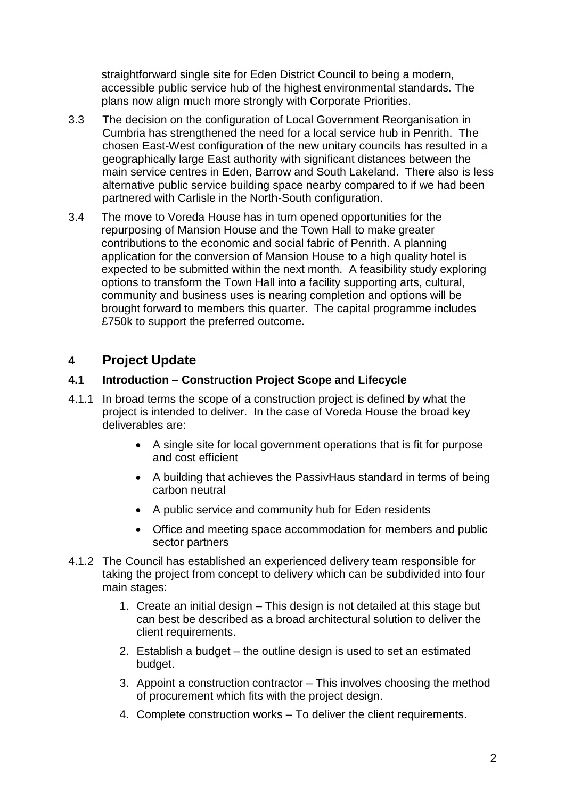straightforward single site for Eden District Council to being a modern, accessible public service hub of the highest environmental standards. The plans now align much more strongly with Corporate Priorities.

- 3.3 The decision on the configuration of Local Government Reorganisation in Cumbria has strengthened the need for a local service hub in Penrith. The chosen East-West configuration of the new unitary councils has resulted in a geographically large East authority with significant distances between the main service centres in Eden, Barrow and South Lakeland. There also is less alternative public service building space nearby compared to if we had been partnered with Carlisle in the North-South configuration.
- 3.4 The move to Voreda House has in turn opened opportunities for the repurposing of Mansion House and the Town Hall to make greater contributions to the economic and social fabric of Penrith. A planning application for the conversion of Mansion House to a high quality hotel is expected to be submitted within the next month. A feasibility study exploring options to transform the Town Hall into a facility supporting arts, cultural, community and business uses is nearing completion and options will be brought forward to members this quarter. The capital programme includes £750k to support the preferred outcome.

## **4 Project Update**

### **4.1 Introduction – Construction Project Scope and Lifecycle**

- 4.1.1 In broad terms the scope of a construction project is defined by what the project is intended to deliver. In the case of Voreda House the broad key deliverables are:
	- A single site for local government operations that is fit for purpose and cost efficient
	- A building that achieves the PassivHaus standard in terms of being carbon neutral
	- A public service and community hub for Eden residents
	- Office and meeting space accommodation for members and public sector partners
- 4.1.2 The Council has established an experienced delivery team responsible for taking the project from concept to delivery which can be subdivided into four main stages:
	- 1. Create an initial design This design is not detailed at this stage but can best be described as a broad architectural solution to deliver the client requirements.
	- 2. Establish a budget the outline design is used to set an estimated budget.
	- 3. Appoint a construction contractor This involves choosing the method of procurement which fits with the project design.
	- 4. Complete construction works To deliver the client requirements.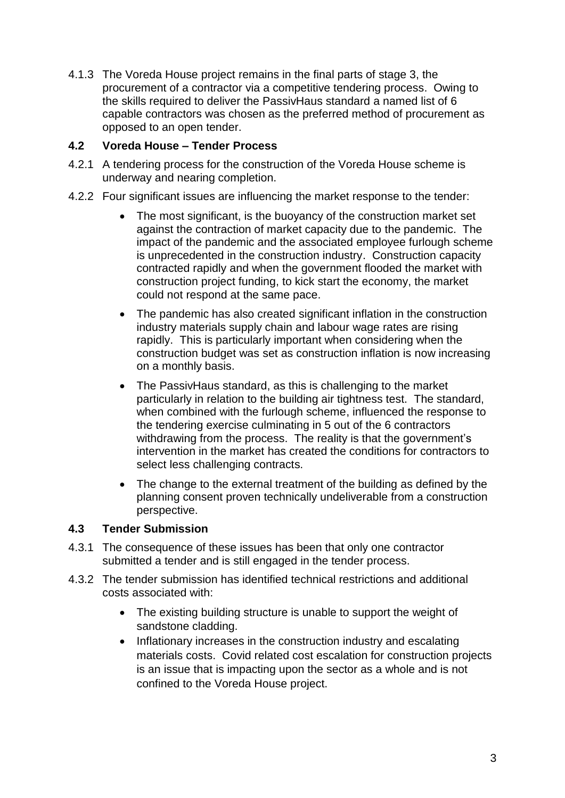4.1.3 The Voreda House project remains in the final parts of stage 3, the procurement of a contractor via a competitive tendering process. Owing to the skills required to deliver the PassivHaus standard a named list of 6 capable contractors was chosen as the preferred method of procurement as opposed to an open tender.

## **4.2 Voreda House – Tender Process**

- 4.2.1 A tendering process for the construction of the Voreda House scheme is underway and nearing completion.
- 4.2.2 Four significant issues are influencing the market response to the tender:
	- The most significant, is the buoyancy of the construction market set against the contraction of market capacity due to the pandemic. The impact of the pandemic and the associated employee furlough scheme is unprecedented in the construction industry. Construction capacity contracted rapidly and when the government flooded the market with construction project funding, to kick start the economy, the market could not respond at the same pace.
	- The pandemic has also created significant inflation in the construction industry materials supply chain and labour wage rates are rising rapidly. This is particularly important when considering when the construction budget was set as construction inflation is now increasing on a monthly basis.
	- The PassivHaus standard, as this is challenging to the market particularly in relation to the building air tightness test. The standard, when combined with the furlough scheme, influenced the response to the tendering exercise culminating in 5 out of the 6 contractors withdrawing from the process. The reality is that the government's intervention in the market has created the conditions for contractors to select less challenging contracts.
	- The change to the external treatment of the building as defined by the planning consent proven technically undeliverable from a construction perspective.

## **4.3 Tender Submission**

- 4.3.1 The consequence of these issues has been that only one contractor submitted a tender and is still engaged in the tender process.
- 4.3.2 The tender submission has identified technical restrictions and additional costs associated with:
	- The existing building structure is unable to support the weight of sandstone cladding.
	- Inflationary increases in the construction industry and escalating materials costs. Covid related cost escalation for construction projects is an issue that is impacting upon the sector as a whole and is not confined to the Voreda House project.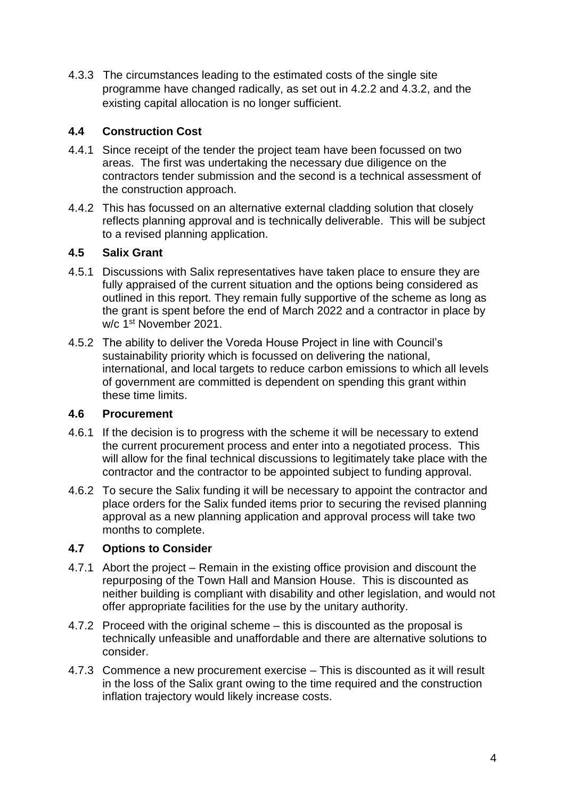4.3.3 The circumstances leading to the estimated costs of the single site programme have changed radically, as set out in 4.2.2 and 4.3.2, and the existing capital allocation is no longer sufficient.

## **4.4 Construction Cost**

- 4.4.1 Since receipt of the tender the project team have been focussed on two areas. The first was undertaking the necessary due diligence on the contractors tender submission and the second is a technical assessment of the construction approach.
- 4.4.2 This has focussed on an alternative external cladding solution that closely reflects planning approval and is technically deliverable. This will be subject to a revised planning application.

## **4.5 Salix Grant**

- 4.5.1 Discussions with Salix representatives have taken place to ensure they are fully appraised of the current situation and the options being considered as outlined in this report. They remain fully supportive of the scheme as long as the grant is spent before the end of March 2022 and a contractor in place by w/c 1st November 2021.
- 4.5.2 The ability to deliver the Voreda House Project in line with Council's sustainability priority which is focussed on delivering the national, international, and local targets to reduce carbon emissions to which all levels of government are committed is dependent on spending this grant within these time limits.

### **4.6 Procurement**

- 4.6.1 If the decision is to progress with the scheme it will be necessary to extend the current procurement process and enter into a negotiated process. This will allow for the final technical discussions to legitimately take place with the contractor and the contractor to be appointed subject to funding approval.
- 4.6.2 To secure the Salix funding it will be necessary to appoint the contractor and place orders for the Salix funded items prior to securing the revised planning approval as a new planning application and approval process will take two months to complete.

### **4.7 Options to Consider**

- 4.7.1 Abort the project Remain in the existing office provision and discount the repurposing of the Town Hall and Mansion House. This is discounted as neither building is compliant with disability and other legislation, and would not offer appropriate facilities for the use by the unitary authority.
- 4.7.2 Proceed with the original scheme this is discounted as the proposal is technically unfeasible and unaffordable and there are alternative solutions to consider.
- 4.7.3 Commence a new procurement exercise This is discounted as it will result in the loss of the Salix grant owing to the time required and the construction inflation trajectory would likely increase costs.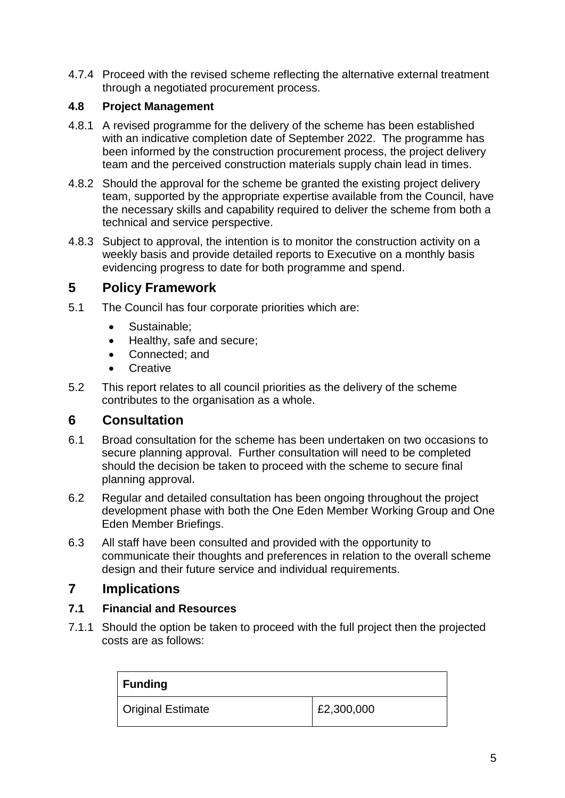4.7.4 Proceed with the revised scheme reflecting the alternative external treatment through a negotiated procurement process.

## **4.8 Project Management**

- 4.8.1 A revised programme for the delivery of the scheme has been established with an indicative completion date of September 2022. The programme has been informed by the construction procurement process, the project delivery team and the perceived construction materials supply chain lead in times.
- 4.8.2 Should the approval for the scheme be granted the existing project delivery team, supported by the appropriate expertise available from the Council, have the necessary skills and capability required to deliver the scheme from both a technical and service perspective.
- 4.8.3 Subject to approval, the intention is to monitor the construction activity on a weekly basis and provide detailed reports to Executive on a monthly basis evidencing progress to date for both programme and spend.

## **5 Policy Framework**

- 5.1 The Council has four corporate priorities which are:
	- Sustainable:
	- Healthy, safe and secure;
	- Connected: and
	- **•** Creative
- 5.2 This report relates to all council priorities as the delivery of the scheme contributes to the organisation as a whole.

## **6 Consultation**

- 6.1 Broad consultation for the scheme has been undertaken on two occasions to secure planning approval. Further consultation will need to be completed should the decision be taken to proceed with the scheme to secure final planning approval.
- 6.2 Regular and detailed consultation has been ongoing throughout the project development phase with both the One Eden Member Working Group and One Eden Member Briefings.
- 6.3 All staff have been consulted and provided with the opportunity to communicate their thoughts and preferences in relation to the overall scheme design and their future service and individual requirements.

## **7 Implications**

### **7.1 Financial and Resources**

7.1.1 Should the option be taken to proceed with the full project then the projected costs are as follows:

| $\vert$ Funding   |            |
|-------------------|------------|
| Original Estimate | £2,300,000 |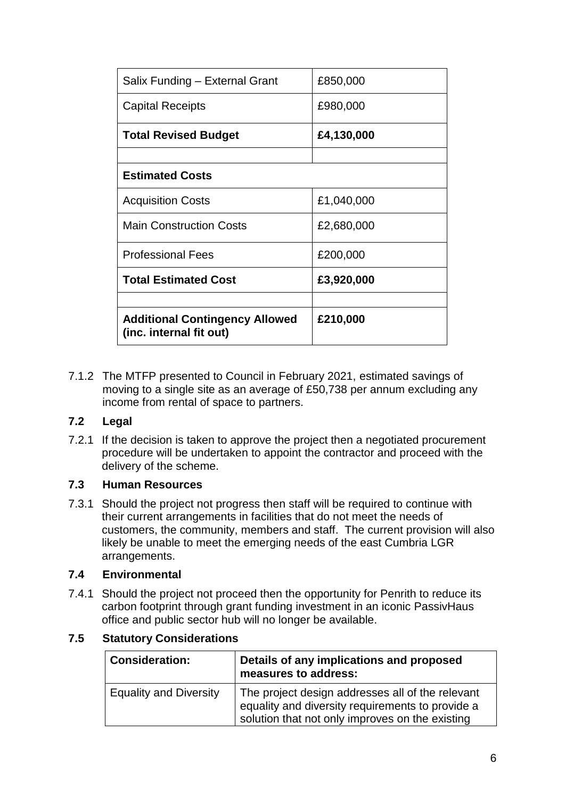| £210,000   |
|------------|
| £3,920,000 |
|            |
| £200,000   |
| £2,680,000 |
| £1,040,000 |
|            |
|            |
| £4,130,000 |
| £980,000   |
| £850,000   |
|            |

7.1.2 The MTFP presented to Council in February 2021, estimated savings of moving to a single site as an average of £50,738 per annum excluding any income from rental of space to partners.

### **7.2 Legal**

7.2.1 If the decision is taken to approve the project then a negotiated procurement procedure will be undertaken to appoint the contractor and proceed with the delivery of the scheme.

### **7.3 Human Resources**

7.3.1 Should the project not progress then staff will be required to continue with their current arrangements in facilities that do not meet the needs of customers, the community, members and staff. The current provision will also likely be unable to meet the emerging needs of the east Cumbria LGR arrangements.

#### **7.4 Environmental**

7.4.1 Should the project not proceed then the opportunity for Penrith to reduce its carbon footprint through grant funding investment in an iconic PassivHaus office and public sector hub will no longer be available.

#### **7.5 Statutory Considerations**

| <b>Consideration:</b>         | Details of any implications and proposed<br>measures to address:                                                                                        |
|-------------------------------|---------------------------------------------------------------------------------------------------------------------------------------------------------|
| <b>Equality and Diversity</b> | The project design addresses all of the relevant<br>equality and diversity requirements to provide a<br>solution that not only improves on the existing |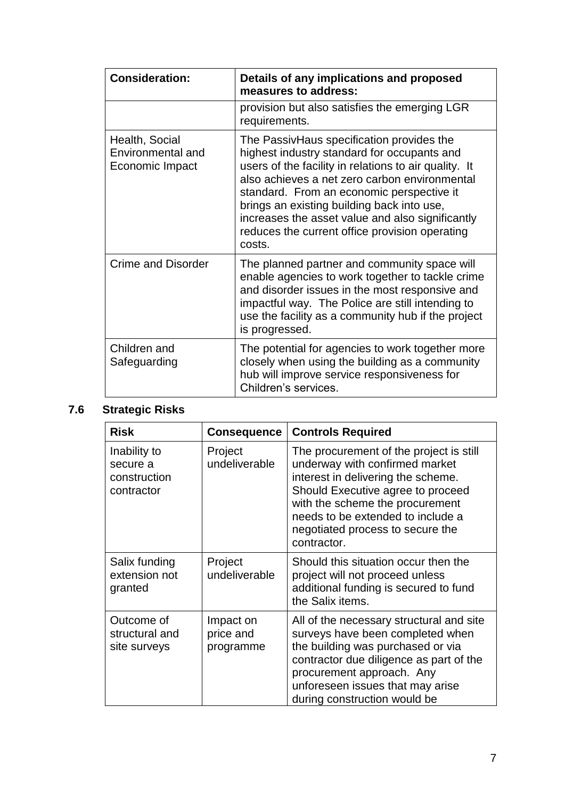| <b>Consideration:</b>                                  | Details of any implications and proposed<br>measures to address:                                                                                                                                                                                                                                                                                                                                              |
|--------------------------------------------------------|---------------------------------------------------------------------------------------------------------------------------------------------------------------------------------------------------------------------------------------------------------------------------------------------------------------------------------------------------------------------------------------------------------------|
|                                                        | provision but also satisfies the emerging LGR<br>requirements.                                                                                                                                                                                                                                                                                                                                                |
| Health, Social<br>Environmental and<br>Economic Impact | The PassivHaus specification provides the<br>highest industry standard for occupants and<br>users of the facility in relations to air quality. It<br>also achieves a net zero carbon environmental<br>standard. From an economic perspective it<br>brings an existing building back into use,<br>increases the asset value and also significantly<br>reduces the current office provision operating<br>costs. |
| <b>Crime and Disorder</b>                              | The planned partner and community space will<br>enable agencies to work together to tackle crime<br>and disorder issues in the most responsive and<br>impactful way. The Police are still intending to<br>use the facility as a community hub if the project<br>is progressed.                                                                                                                                |
| Children and<br>Safeguarding                           | The potential for agencies to work together more<br>closely when using the building as a community<br>hub will improve service responsiveness for<br>Children's services.                                                                                                                                                                                                                                     |

# **7.6 Strategic Risks**

| <b>Risk</b>                                            | <b>Consequence</b>                  | <b>Controls Required</b>                                                                                                                                                                                                                                                        |
|--------------------------------------------------------|-------------------------------------|---------------------------------------------------------------------------------------------------------------------------------------------------------------------------------------------------------------------------------------------------------------------------------|
| Inability to<br>secure a<br>construction<br>contractor | Project<br>undeliverable            | The procurement of the project is still<br>underway with confirmed market<br>interest in delivering the scheme.<br>Should Executive agree to proceed<br>with the scheme the procurement<br>needs to be extended to include a<br>negotiated process to secure the<br>contractor. |
| Salix funding<br>extension not<br>granted              | Project<br>undeliverable            | Should this situation occur then the<br>project will not proceed unless<br>additional funding is secured to fund<br>the Salix items.                                                                                                                                            |
| Outcome of<br>structural and<br>site surveys           | Impact on<br>price and<br>programme | All of the necessary structural and site<br>surveys have been completed when<br>the building was purchased or via<br>contractor due diligence as part of the<br>procurement approach. Any<br>unforeseen issues that may arise<br>during construction would be                   |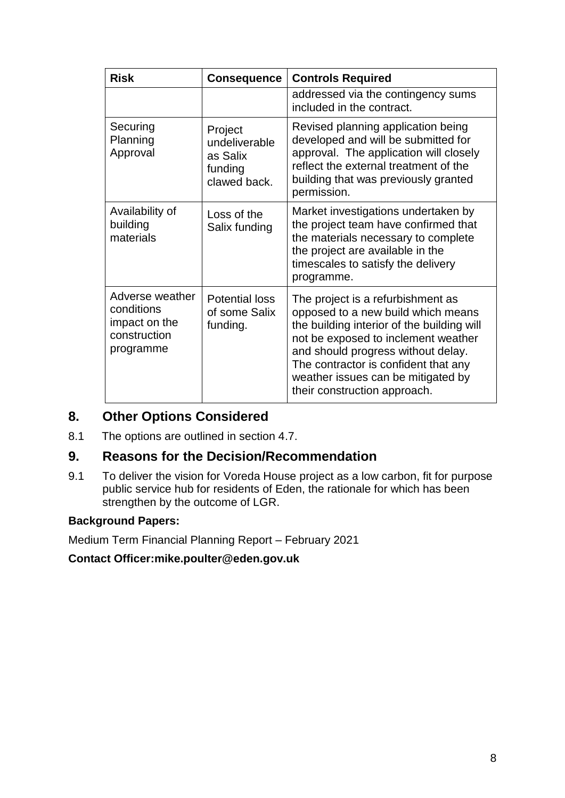| <b>Risk</b>                                                                 | <b>Consequence</b>                                              | <b>Controls Required</b>                                                                                                                                                                                                                                                                                         |
|-----------------------------------------------------------------------------|-----------------------------------------------------------------|------------------------------------------------------------------------------------------------------------------------------------------------------------------------------------------------------------------------------------------------------------------------------------------------------------------|
|                                                                             |                                                                 | addressed via the contingency sums<br>included in the contract.                                                                                                                                                                                                                                                  |
| Securing<br>Planning<br>Approval                                            | Project<br>undeliverable<br>as Salix<br>funding<br>clawed back. | Revised planning application being<br>developed and will be submitted for<br>approval. The application will closely<br>reflect the external treatment of the<br>building that was previously granted<br>permission.                                                                                              |
| Availability of<br>building<br>materials                                    | Loss of the<br>Salix funding                                    | Market investigations undertaken by<br>the project team have confirmed that<br>the materials necessary to complete<br>the project are available in the<br>timescales to satisfy the delivery<br>programme.                                                                                                       |
| Adverse weather<br>conditions<br>impact on the<br>construction<br>programme | <b>Potential loss</b><br>of some Salix<br>funding.              | The project is a refurbishment as<br>opposed to a new build which means<br>the building interior of the building will<br>not be exposed to inclement weather<br>and should progress without delay.<br>The contractor is confident that any<br>weather issues can be mitigated by<br>their construction approach. |

## **8. Other Options Considered**

8.1 The options are outlined in section 4.7.

## **9. Reasons for the Decision/Recommendation**

9.1 To deliver the vision for Voreda House project as a low carbon, fit for purpose public service hub for residents of Eden, the rationale for which has been strengthen by the outcome of LGR.

## **Background Papers:**

Medium Term Financial Planning Report – February 2021

### **Contact Officer:mike.poulter@eden.gov.uk**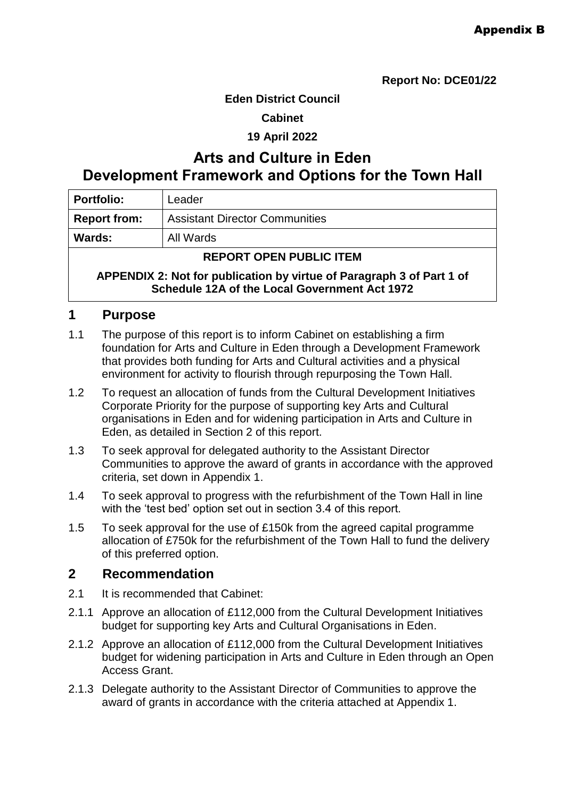**Report No: DCE01/22** 

#### **Eden District Council**

#### **Cabinet**

#### **19 April 2022**

# **Arts and Culture in Eden Development Framework and Options for the Town Hall**

| <b>Portfolio:</b>      | Leader                                |
|------------------------|---------------------------------------|
| <b>Report from:</b>    | <b>Assistant Director Communities</b> |
| <b>Wards:</b>          | All Wards                             |
| DEDADT ADEN DHDHA ITEM |                                       |

#### **REPORT OPEN PUBLIC ITEM**

**APPENDIX 2: Not for publication by virtue of Paragraph 3 of Part 1 of Schedule 12A of the Local Government Act 1972**

#### **1 Purpose**

- 1.1 The purpose of this report is to inform Cabinet on establishing a firm foundation for Arts and Culture in Eden through a Development Framework that provides both funding for Arts and Cultural activities and a physical environment for activity to flourish through repurposing the Town Hall.
- 1.2 To request an allocation of funds from the Cultural Development Initiatives Corporate Priority for the purpose of supporting key Arts and Cultural organisations in Eden and for widening participation in Arts and Culture in Eden, as detailed in Section 2 of this report.
- 1.3 To seek approval for delegated authority to the Assistant Director Communities to approve the award of grants in accordance with the approved criteria, set down in Appendix 1.
- 1.4 To seek approval to progress with the refurbishment of the Town Hall in line with the 'test bed' option set out in section 3.4 of this report.
- 1.5 To seek approval for the use of £150k from the agreed capital programme allocation of £750k for the refurbishment of the Town Hall to fund the delivery of this preferred option.

### **2 Recommendation**

- 2.1 It is recommended that Cabinet:
- 2.1.1 Approve an allocation of £112,000 from the Cultural Development Initiatives budget for supporting key Arts and Cultural Organisations in Eden.
- 2.1.2 Approve an allocation of £112,000 from the Cultural Development Initiatives budget for widening participation in Arts and Culture in Eden through an Open Access Grant.
- 2.1.3 Delegate authority to the Assistant Director of Communities to approve the award of grants in accordance with the criteria attached at Appendix 1.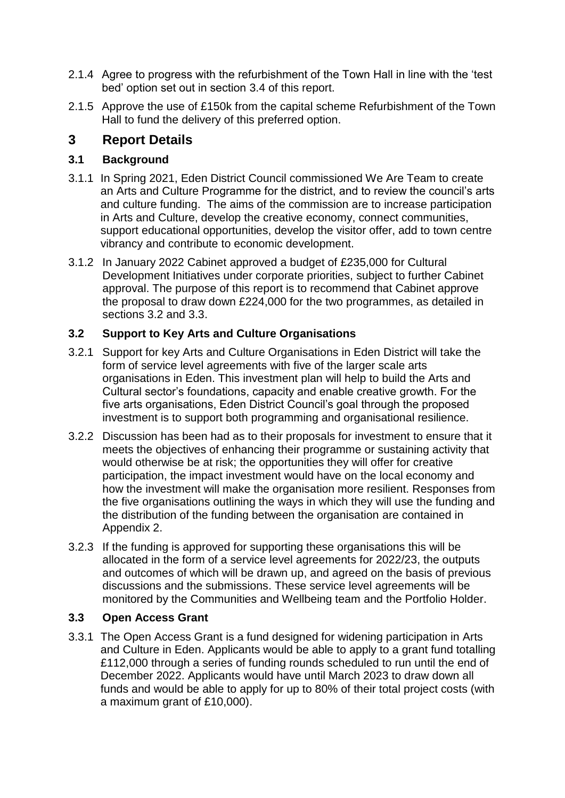- 2.1.4 Agree to progress with the refurbishment of the Town Hall in line with the 'test bed' option set out in section 3.4 of this report.
- 2.1.5 Approve the use of £150k from the capital scheme Refurbishment of the Town Hall to fund the delivery of this preferred option.

## **3 Report Details**

## **3.1 Background**

- 3.1.1 In Spring 2021, Eden District Council commissioned We Are Team to create an Arts and Culture Programme for the district, and to review the council's arts and culture funding. The aims of the commission are to increase participation in Arts and Culture, develop the creative economy, connect communities, support educational opportunities, develop the visitor offer, add to town centre vibrancy and contribute to economic development.
- 3.1.2 In January 2022 Cabinet approved a budget of £235,000 for Cultural Development Initiatives under corporate priorities, subject to further Cabinet approval. The purpose of this report is to recommend that Cabinet approve the proposal to draw down £224,000 for the two programmes, as detailed in sections 3.2 and 3.3.

## **3.2 Support to Key Arts and Culture Organisations**

- 3.2.1 Support for key Arts and Culture Organisations in Eden District will take the form of service level agreements with five of the larger scale arts organisations in Eden. This investment plan will help to build the Arts and Cultural sector's foundations, capacity and enable creative growth. For the five arts organisations, Eden District Council's goal through the proposed investment is to support both programming and organisational resilience.
- 3.2.2 Discussion has been had as to their proposals for investment to ensure that it meets the objectives of enhancing their programme or sustaining activity that would otherwise be at risk; the opportunities they will offer for creative participation, the impact investment would have on the local economy and how the investment will make the organisation more resilient. Responses from the five organisations outlining the ways in which they will use the funding and the distribution of the funding between the organisation are contained in Appendix 2.
- 3.2.3 If the funding is approved for supporting these organisations this will be allocated in the form of a service level agreements for 2022/23, the outputs and outcomes of which will be drawn up, and agreed on the basis of previous discussions and the submissions. These service level agreements will be monitored by the Communities and Wellbeing team and the Portfolio Holder.

### **3.3 Open Access Grant**

3.3.1 The Open Access Grant is a fund designed for widening participation in Arts and Culture in Eden. Applicants would be able to apply to a grant fund totalling £112,000 through a series of funding rounds scheduled to run until the end of December 2022. Applicants would have until March 2023 to draw down all funds and would be able to apply for up to 80% of their total project costs (with a maximum grant of £10,000).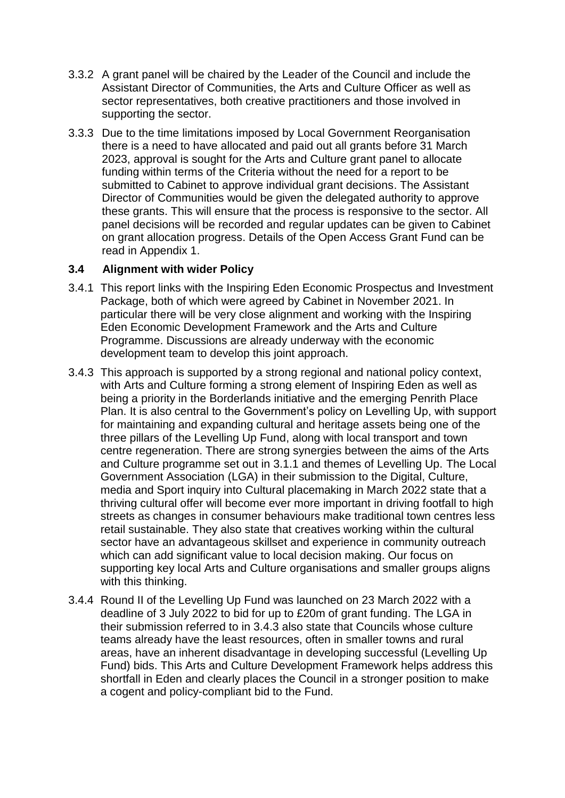- 3.3.2 A grant panel will be chaired by the Leader of the Council and include the Assistant Director of Communities, the Arts and Culture Officer as well as sector representatives, both creative practitioners and those involved in supporting the sector.
- 3.3.3 Due to the time limitations imposed by Local Government Reorganisation there is a need to have allocated and paid out all grants before 31 March 2023, approval is sought for the Arts and Culture grant panel to allocate funding within terms of the Criteria without the need for a report to be submitted to Cabinet to approve individual grant decisions. The Assistant Director of Communities would be given the delegated authority to approve these grants. This will ensure that the process is responsive to the sector. All panel decisions will be recorded and regular updates can be given to Cabinet on grant allocation progress. Details of the Open Access Grant Fund can be read in Appendix 1.

#### **3.4 Alignment with wider Policy**

- 3.4.1 This report links with the Inspiring Eden Economic Prospectus and Investment Package, both of which were agreed by Cabinet in November 2021. In particular there will be very close alignment and working with the Inspiring Eden Economic Development Framework and the Arts and Culture Programme. Discussions are already underway with the economic development team to develop this joint approach.
- 3.4.3 This approach is supported by a strong regional and national policy context, with Arts and Culture forming a strong element of Inspiring Eden as well as being a priority in the Borderlands initiative and the emerging Penrith Place Plan. It is also central to the Government's policy on Levelling Up, with support for maintaining and expanding cultural and heritage assets being one of the three pillars of the Levelling Up Fund, along with local transport and town centre regeneration. There are strong synergies between the aims of the Arts and Culture programme set out in 3.1.1 and themes of Levelling Up. The Local Government Association (LGA) in their submission to the Digital, Culture, media and Sport inquiry into Cultural placemaking in March 2022 state that a thriving cultural offer will become ever more important in driving footfall to high streets as changes in consumer behaviours make traditional town centres less retail sustainable. They also state that creatives working within the cultural sector have an advantageous skillset and experience in community outreach which can add significant value to local decision making. Our focus on supporting key local Arts and Culture organisations and smaller groups aligns with this thinking.
- 3.4.4 Round II of the Levelling Up Fund was launched on 23 March 2022 with a deadline of 3 July 2022 to bid for up to £20m of grant funding. The LGA in their submission referred to in 3.4.3 also state that Councils whose culture teams already have the least resources, often in smaller towns and rural areas, have an inherent disadvantage in developing successful (Levelling Up Fund) bids. This Arts and Culture Development Framework helps address this shortfall in Eden and clearly places the Council in a stronger position to make a cogent and policy-compliant bid to the Fund.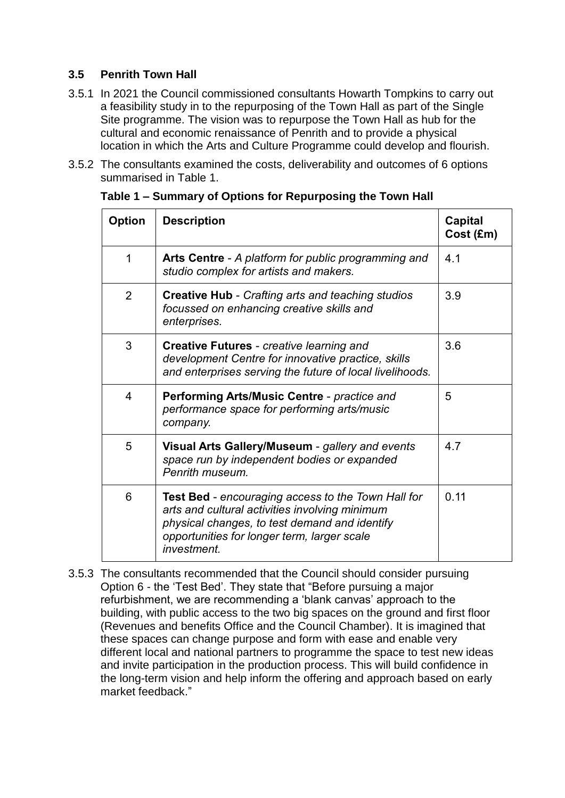## **3.5 Penrith Town Hall**

- 3.5.1 In 2021 the Council commissioned consultants Howarth Tompkins to carry out a feasibility study in to the repurposing of the Town Hall as part of the Single Site programme. The vision was to repurpose the Town Hall as hub for the cultural and economic renaissance of Penrith and to provide a physical location in which the Arts and Culture Programme could develop and flourish.
- 3.5.2 The consultants examined the costs, deliverability and outcomes of 6 options summarised in Table 1.

| <b>Option</b> | <b>Description</b>                                                                                                                                                                                                         | <b>Capital</b><br>Cost (£m) |
|---------------|----------------------------------------------------------------------------------------------------------------------------------------------------------------------------------------------------------------------------|-----------------------------|
| $\mathbf 1$   | Arts Centre - A platform for public programming and<br>studio complex for artists and makers.                                                                                                                              | 4.1                         |
| 2             | <b>Creative Hub - Crafting arts and teaching studios</b><br>focussed on enhancing creative skills and<br>enterprises.                                                                                                      | 3.9                         |
| 3             | <b>Creative Futures - creative learning and</b><br>development Centre for innovative practice, skills<br>and enterprises serving the future of local livelihoods.                                                          | 3.6                         |
| 4             | Performing Arts/Music Centre - practice and<br>performance space for performing arts/music<br>company.                                                                                                                     | 5                           |
| 5             | Visual Arts Gallery/Museum - gallery and events<br>space run by independent bodies or expanded<br>Penrith museum.                                                                                                          | 4.7                         |
| 6             | <b>Test Bed - encouraging access to the Town Hall for</b><br>arts and cultural activities involving minimum<br>physical changes, to test demand and identify<br>opportunities for longer term, larger scale<br>investment. | 0.11                        |

**Table 1 – Summary of Options for Repurposing the Town Hall**

3.5.3 The consultants recommended that the Council should consider pursuing Option 6 - the 'Test Bed'. They state that "Before pursuing a major refurbishment, we are recommending a 'blank canvas' approach to the building, with public access to the two big spaces on the ground and first floor (Revenues and benefits Office and the Council Chamber). It is imagined that these spaces can change purpose and form with ease and enable very different local and national partners to programme the space to test new ideas and invite participation in the production process. This will build confidence in the long-term vision and help inform the offering and approach based on early market feedback."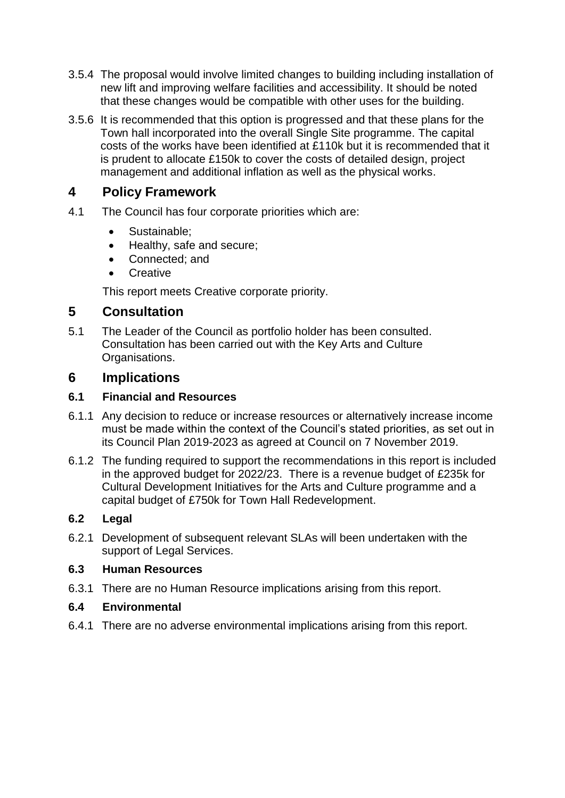- 3.5.4 The proposal would involve limited changes to building including installation of new lift and improving welfare facilities and accessibility. It should be noted that these changes would be compatible with other uses for the building.
- 3.5.6 It is recommended that this option is progressed and that these plans for the Town hall incorporated into the overall Single Site programme. The capital costs of the works have been identified at £110k but it is recommended that it is prudent to allocate £150k to cover the costs of detailed design, project management and additional inflation as well as the physical works.

## **4 Policy Framework**

- 4.1 The Council has four corporate priorities which are:
	- Sustainable:
	- Healthy, safe and secure;
	- Connected; and
	- **•** Creative

This report meets Creative corporate priority.

## **5 Consultation**

5.1 The Leader of the Council as portfolio holder has been consulted. Consultation has been carried out with the Key Arts and Culture Organisations.

## **6 Implications**

### **6.1 Financial and Resources**

- 6.1.1 Any decision to reduce or increase resources or alternatively increase income must be made within the context of the Council's stated priorities, as set out in its Council Plan 2019-2023 as agreed at Council on 7 November 2019.
- 6.1.2 The funding required to support the recommendations in this report is included in the approved budget for 2022/23. There is a revenue budget of £235k for Cultural Development Initiatives for the Arts and Culture programme and a capital budget of £750k for Town Hall Redevelopment.

### **6.2 Legal**

6.2.1 Development of subsequent relevant SLAs will been undertaken with the support of Legal Services.

### **6.3 Human Resources**

6.3.1 There are no Human Resource implications arising from this report.

### **6.4 Environmental**

6.4.1 There are no adverse environmental implications arising from this report.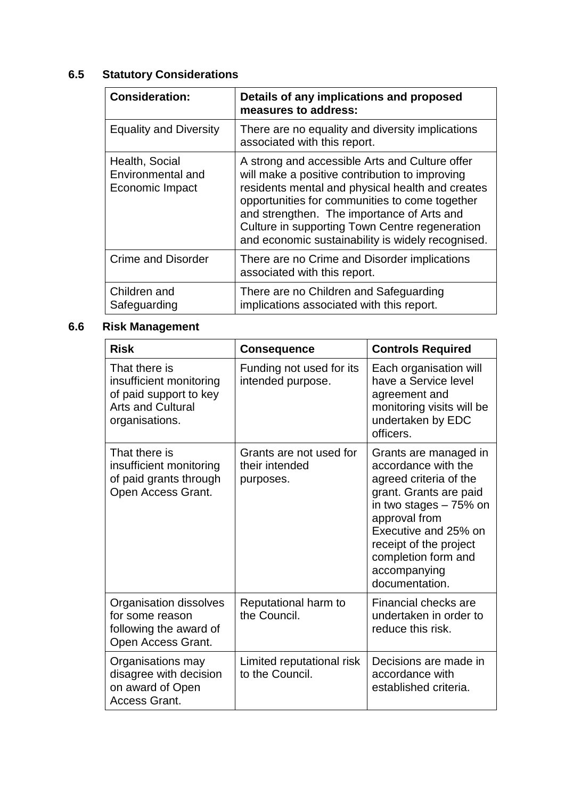# **6.5 Statutory Considerations**

| <b>Consideration:</b>                                  | Details of any implications and proposed<br>measures to address:                                                                                                                                                                                                                                                                                            |
|--------------------------------------------------------|-------------------------------------------------------------------------------------------------------------------------------------------------------------------------------------------------------------------------------------------------------------------------------------------------------------------------------------------------------------|
| <b>Equality and Diversity</b>                          | There are no equality and diversity implications<br>associated with this report.                                                                                                                                                                                                                                                                            |
| Health, Social<br>Environmental and<br>Economic Impact | A strong and accessible Arts and Culture offer<br>will make a positive contribution to improving<br>residents mental and physical health and creates<br>opportunities for communities to come together<br>and strengthen. The importance of Arts and<br>Culture in supporting Town Centre regeneration<br>and economic sustainability is widely recognised. |
| <b>Crime and Disorder</b>                              | There are no Crime and Disorder implications<br>associated with this report.                                                                                                                                                                                                                                                                                |
| Children and<br>Safeguarding                           | There are no Children and Safeguarding<br>implications associated with this report.                                                                                                                                                                                                                                                                         |

## **6.6 Risk Management**

| <b>Risk</b>                                                                                                      | <b>Consequence</b>                                     | <b>Controls Required</b>                                                                                                                                                                                                                                |
|------------------------------------------------------------------------------------------------------------------|--------------------------------------------------------|---------------------------------------------------------------------------------------------------------------------------------------------------------------------------------------------------------------------------------------------------------|
| That there is<br>insufficient monitoring<br>of paid support to key<br><b>Arts and Cultural</b><br>organisations. | Funding not used for its<br>intended purpose.          | Each organisation will<br>have a Service level<br>agreement and<br>monitoring visits will be<br>undertaken by EDC<br>officers.                                                                                                                          |
| That there is<br>insufficient monitoring<br>of paid grants through<br>Open Access Grant.                         | Grants are not used for<br>their intended<br>purposes. | Grants are managed in<br>accordance with the<br>agreed criteria of the<br>grant. Grants are paid<br>in two stages $-75%$ on<br>approval from<br>Executive and 25% on<br>receipt of the project<br>completion form and<br>accompanying<br>documentation. |
| Organisation dissolves<br>for some reason<br>following the award of<br>Open Access Grant.                        | Reputational harm to<br>the Council.                   | Financial checks are<br>undertaken in order to<br>reduce this risk.                                                                                                                                                                                     |
| Organisations may<br>disagree with decision<br>on award of Open<br>Access Grant.                                 | Limited reputational risk<br>to the Council.           | Decisions are made in<br>accordance with<br>established criteria.                                                                                                                                                                                       |